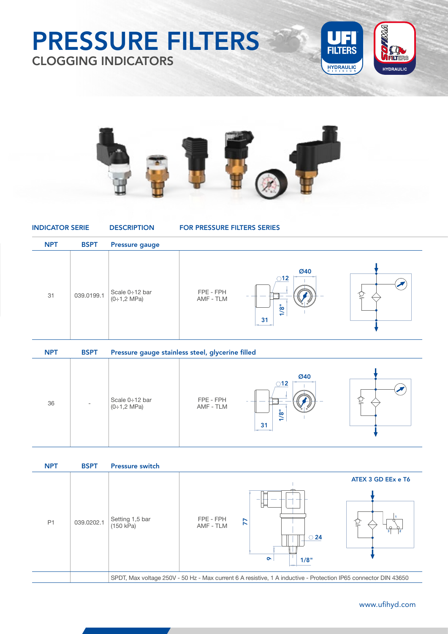### PRESSURE FILTERS CLOGGING INDICATORS





| <b>INDICATOR SERIE</b> |             | <b>DESCRIPTION</b>                      | <b>FOR PRESSURE FILTERS SERIES</b> |                                    |  |
|------------------------|-------------|-----------------------------------------|------------------------------------|------------------------------------|--|
| <b>NPT</b>             | <b>BSPT</b> | <b>Pressure gauge</b>                   |                                    |                                    |  |
| 31                     | 039.0199.1  | Scale 0÷12 bar<br>$(0:1,2 \text{ MPa})$ | FPE - FPH<br>AMF - TLM             | Ø40<br>$\bigcirc$ 12<br>1/8"<br>31 |  |

| <b>NPT</b> | <b>BSPT</b> | Pressure gauge stainless steel, glycerine filled |                        |                                                   |  |
|------------|-------------|--------------------------------------------------|------------------------|---------------------------------------------------|--|
| 36         | ۰           | Scale $0:12$ bar<br>$(0:1,2 \text{ MPa})$        | FPE - FPH<br>AMF - TLM | Ø40<br>$\bigcirc$ 12<br>6<br>$\overline{ }$<br>31 |  |



039.0184.1

#### 267 www.ufihyd.com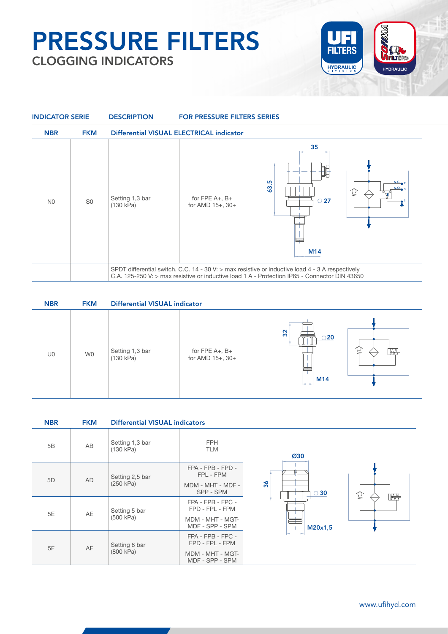## PRESSURE FILTERS CLOGGING INDICATORS





| <b>NBR</b> | <b>FKM</b> | <b>Differential VISUAL indicator</b> |                                           |                            |    |
|------------|------------|--------------------------------------|-------------------------------------------|----------------------------|----|
| U0         | W0         | Setting 1,3 bar<br>(130 kPa)         | for FPE $A_+$ , $B_+$<br>for AMD 15+, 30+ | 32<br>$\bigcirc$ 20<br>M14 | Ï₩ |

| <b>NBR</b> | <b>FKM</b> | <b>Differential VISUAL indicators</b> |                                                                             |                  |  |
|------------|------------|---------------------------------------|-----------------------------------------------------------------------------|------------------|--|
| 5B         | AB         | Setting 1,3 bar<br>(130 kPa)          | <b>FPH</b><br><b>TLM</b>                                                    | Ø30              |  |
| 5D         | <b>AD</b>  | Setting 2,5 bar<br>(250 kPa)          | FPA - FPB - FPD -<br>FPL - FPM<br>MDM - MHT - MDF -<br>SPP - SPM            | 36<br>$\circ$ 30 |  |
| 5E         | AE         | Setting 5 bar<br>(500 kPa)            | FPA - FPB - FPC -<br>FPD - FPL - FPM<br>MDM - MHT - MGT-<br>MDF - SPP - SPM | Ï₩<br>M20x1,5    |  |
| 5F         | AF         | Setting 8 bar<br>(800 kPa)            | FPA - FPB - FPC -<br>FPD - FPL - FPM<br>MDM - MHT - MGT-<br>MDF - SPP - SPM |                  |  |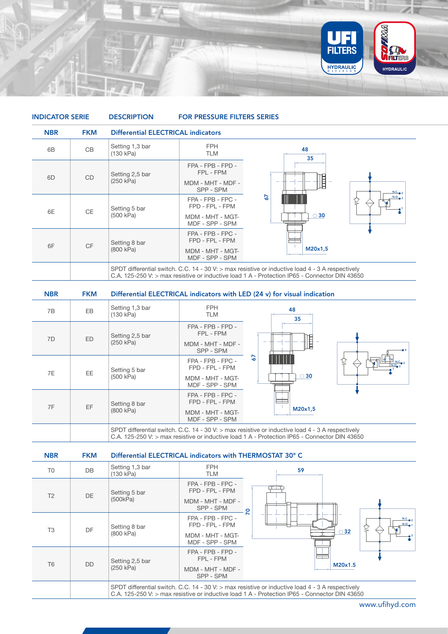

| <b>INDICATOR SERIE</b> |            | <b>DESCRIPTION</b>           | <b>FOR PRESSURE FILTERS SERIES</b>                                          |                                                                                                                                                                                                       |            |
|------------------------|------------|------------------------------|-----------------------------------------------------------------------------|-------------------------------------------------------------------------------------------------------------------------------------------------------------------------------------------------------|------------|
| <b>NBR</b>             | <b>FKM</b> |                              | <b>Differential ELECTRICAL indicators</b>                                   |                                                                                                                                                                                                       |            |
| 6B                     | CB         | Setting 1,3 bar<br>(130 kPa) | <b>FPH</b><br><b>TLM</b>                                                    | 48<br>35                                                                                                                                                                                              |            |
| 6 <sub>D</sub>         | <b>CD</b>  | Setting 2,5 bar<br>(250 kPa) | FPA - FPB - FPD -<br>FPL - FPM<br>MDM - MHT - MDF -<br>SPP - SPM            | 貝                                                                                                                                                                                                     | $N.C.$ $2$ |
| 6E                     | <b>CE</b>  | Setting 5 bar<br>(500 kPa)   | FPA - FPB - FPC -<br>FPD - FPL - FPM<br>MDM - MHT - MGT-<br>MDF - SPP - SPM | 57<br>$\circ$ 30                                                                                                                                                                                      | N.O.       |
| 6F                     | <b>CF</b>  | Setting 8 bar<br>(800 kPa)   | FPA - FPB - FPC -<br>FPD - FPL - FPM<br>MDM - MHT - MGT-<br>MDF - SPP - SPM | M20x1,5                                                                                                                                                                                               |            |
|                        |            |                              |                                                                             | SPDT differential switch. C.C. 14 - 30 V: $>$ max resistive or inductive load 4 - 3 A respectively<br>C.A. 125-250 V: $>$ max resistive or inductive load 1 A - Protection IP65 - Connector DIN 43650 |            |

| <b>NBR</b> | <b>FKM</b> |                              |                                                                                                                                                                                                       | Differential ELECTRICAL indicators with LED (24 v) for visual indication |                                                    |
|------------|------------|------------------------------|-------------------------------------------------------------------------------------------------------------------------------------------------------------------------------------------------------|--------------------------------------------------------------------------|----------------------------------------------------|
| 7B         | <b>EB</b>  | Setting 1,3 bar<br>(130 kPa) | <b>FPH</b><br><b>TLM</b>                                                                                                                                                                              | 48<br>35                                                                 |                                                    |
| 7D         | <b>ED</b>  | Setting 2,5 bar              | FPA - FPB - FPD -<br>FPL - FPM                                                                                                                                                                        |                                                                          |                                                    |
|            |            | (250 kPa)                    | MDM - MHT - MDF -<br>SPP - SPM                                                                                                                                                                        | ┋                                                                        |                                                    |
| <b>7E</b>  | EE.        | Setting 5 bar                | FPA - FPB - FPC -<br>FPD - FPL - FPM                                                                                                                                                                  | 57                                                                       | $\frac{ R }{ R }$ N.C. $\frac{2}{2}$<br>$N.O_{23}$ |
|            |            | (500 kPa)                    | MDM - MHT - MGT-<br>MDF - SPP - SPM                                                                                                                                                                   | $\circ$ 30                                                               |                                                    |
| 7F         | EF         | Setting 8 bar                | FPA - FPB - FPC -<br>FPD - FPL - FPM                                                                                                                                                                  |                                                                          |                                                    |
|            |            | (800 kPa)                    | MDM - MHT - MGT-<br>MDF - SPP - SPM                                                                                                                                                                   | M20x1,5                                                                  |                                                    |
|            |            |                              | SPDT differential switch. C.C. 14 - 30 V: $>$ max resistive or inductive load 4 - 3 A respectively<br>C.A. 125-250 V: $>$ max resistive or inductive load 1 A - Protection IP65 - Connector DIN 43650 |                                                                          |                                                    |

| <b>NBR</b>     | <b>FKM</b> | Differential ELECTRICAL indicators with THERMOSTAT 30° C |                                                                             |                                                                                                                                                                                                     |
|----------------|------------|----------------------------------------------------------|-----------------------------------------------------------------------------|-----------------------------------------------------------------------------------------------------------------------------------------------------------------------------------------------------|
| T <sub>0</sub> | DB         | Setting 1,3 bar<br>(130 kPa)                             | FPH.<br>TLM                                                                 | 59                                                                                                                                                                                                  |
| T <sub>2</sub> | DE.        | Setting 5 bar<br>(500kPa)                                | FPA - FPB - FPC -<br>FPD - FPL - FPM<br>MDM - MHT - MDF -<br>SPP - SPM      |                                                                                                                                                                                                     |
| T <sub>3</sub> | <b>DF</b>  | Setting 8 bar<br>(800 kPa)                               | FPA - FPB - FPC -<br>FPD - FPL - FPM<br>MDM - MHT - MGT-<br>MDF - SPP - SPM | 2<br>$N.C.$ 2<br>N.O.<br>$\circ$ 32                                                                                                                                                                 |
| T <sub>6</sub> | <b>DD</b>  | Setting 2,5 bar<br>(250 kPa)                             | FPA - FPB - FPD -<br>FPL - FPM<br>MDM - MHT - MDF -<br>SPP - SPM            | M20x1.5                                                                                                                                                                                             |
|                |            |                                                          |                                                                             | SPDT differential switch. C.C. 14 - 30 V: > max resistive or inductive load 4 - 3 A respectively<br>C.A. 125-250 V: $>$ max resistive or inductive load 1 A - Protection IP65 - Connector DIN 43650 |

269 www.ufihyd.com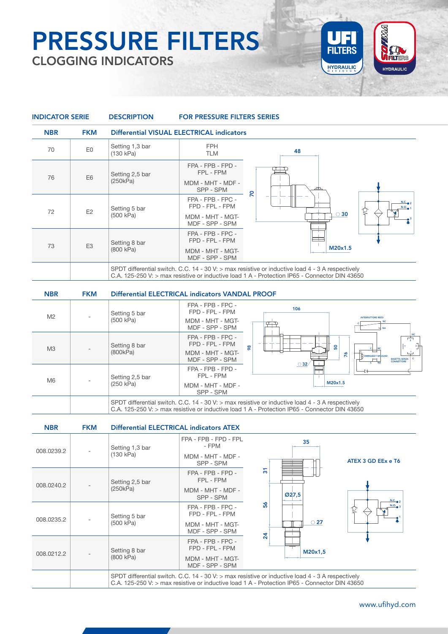# PRESSURE FILTERS CLOGGING INDICATORS



| <b>INDICATOR SERIE</b> |                | <b>DESCRIPTION</b>           | <b>FOR PRESSURE FILTERS SERIES</b>                                          |                                                                                                                                                                                                       |
|------------------------|----------------|------------------------------|-----------------------------------------------------------------------------|-------------------------------------------------------------------------------------------------------------------------------------------------------------------------------------------------------|
| <b>NBR</b>             | <b>FKM</b>     |                              | Differential VISUAL ELECTRICAL indicators                                   |                                                                                                                                                                                                       |
| 70                     | E0             | Setting 1,3 bar<br>(130 kPa) | <b>FPH</b><br><b>TLM</b>                                                    | 48                                                                                                                                                                                                    |
| 76                     | E <sub>6</sub> | Setting 2,5 bar<br>(250kPa)  | FPA - FPB - FPD -<br>FPL - FPM<br>MDM - MHT - MDF -<br>SPP - SPM            |                                                                                                                                                                                                       |
| 72                     | E2             | Setting 5 bar<br>(500 kPa)   | FPA - FPB - FPC -<br>FPD - FPL - FPM<br>MDM - MHT - MGT-<br>MDF - SPP - SPM | $\overline{R}$<br>N.C.<br>N.O.<br>Ç<br>$\circ$ 30                                                                                                                                                     |
| 73                     | E <sub>3</sub> | Setting 8 bar<br>(800 kPa)   | FPA - FPB - FPC -<br>FPD - FPL - FPM<br>MDM - MHT - MGT-<br>MDF - SPP - SPM | M20x1.5                                                                                                                                                                                               |
|                        |                |                              |                                                                             | SPDT differential switch. C.C. 14 - 30 V: $>$ max resistive or inductive load 4 - 3 A respectively<br>C.A. 125-250 V: $>$ max resistive or inductive load 1 A - Protection IP65 - Connector DIN 43650 |
| <b>NBR</b>             | <b>FKM</b>     |                              | Differential ELECTRICAL indicators VANDAL PROOF                             |                                                                                                                                                                                                       |
|                        |                |                              | FPA - FPB - FPC -                                                           | 104                                                                                                                                                                                                   |

| <b>NBR</b>     | <b>FKM</b> | <b>Differential ELECTRICAL indicators ATEX</b> |                                                                             |               |                                                                                                                                                                                                     |                                       |                    |                                                      |
|----------------|------------|------------------------------------------------|-----------------------------------------------------------------------------|---------------|-----------------------------------------------------------------------------------------------------------------------------------------------------------------------------------------------------|---------------------------------------|--------------------|------------------------------------------------------|
|                |            |                                                |                                                                             |               | SPDT differential switch. C.C. 14 - 30 V: $>$ max resistive or inductive load 4 - 3 A respectively<br>C.A. 125-250 V: > max resistive or inductive load 1 A - Protection IP65 - Connector DIN 43650 |                                       |                    |                                                      |
| M <sub>6</sub> |            | Setting 2,5 bar<br>(250 kPa)                   | FPA - FPB - FPD -<br>FPL - FPM<br>MDM - MHT - MDF -<br>SPP - SPM            |               | $\circ$ 32/                                                                                                                                                                                         | M20x1.5                               |                    |                                                      |
| M <sub>3</sub> |            | Setting 8 bar<br>(800kPa)                      | FPA - FPB - FPC -<br>FPD - FPL - FPM<br>MDM - MHT - MGT-<br>MDF - SPP - SPM | $\frac{8}{2}$ |                                                                                                                                                                                                     | ္တ<br>$\tilde{z}$                     | N OMRG6B2114PUS24D | $\overline{1}$<br><b>BASETTA SENZA</b><br>CONNETTORE |
| M <sub>2</sub> |            | Setting 5 bar<br>(500 kPa)                     | FPD - FPL - FPM<br>MDM - MHT - MGT-<br>MDF - SPP - SPM                      | 106           |                                                                                                                                                                                                     | <b>INTERRUTTORE REED</b><br><b>NA</b> |                    |                                                      |

| <b>NBR</b> | <b>FKM</b> | <b>Differential ELECTRICAL indicators ATEX</b>                                                                                                                                                        |                                      |                               |
|------------|------------|-------------------------------------------------------------------------------------------------------------------------------------------------------------------------------------------------------|--------------------------------------|-------------------------------|
|            |            | Setting 1,3 bar                                                                                                                                                                                       | FPA - FPB - FPD - FPL<br>- FPM       | 35                            |
| 008.0239.2 |            | (130 kPa)                                                                                                                                                                                             | MDM - MHT - MDF -<br>SPP - SPM       | ATEX 3 GD EEx e T6            |
| 008.0240.2 |            | Setting 2,5 bar                                                                                                                                                                                       | FPA - FPB - FPD -<br>FPL - FPM       | $\overline{5}$                |
|            |            | (250kPa)                                                                                                                                                                                              | MDM - MHT - MDF -<br>SPP - SPM       | Ø27,5<br>N.C.                 |
|            |            | Setting 5 bar                                                                                                                                                                                         | FPA - FPB - FPC -<br>FPD - FPL - FPM | 56<br>N.O.<br>Q               |
| 008.0235.2 |            | (500 kPa)                                                                                                                                                                                             | MDM - MHT - MGT-<br>MDF - SPP - SPM  | $\circ$ 27<br>$\overline{24}$ |
|            |            | Setting 8 bar                                                                                                                                                                                         | FPA - FPB - FPC -<br>FPD - FPL - FPM | M20x1,5                       |
| 008.0212.2 |            | (800 kPa)                                                                                                                                                                                             | MDM - MHT - MGT-<br>MDF - SPP - SPM  |                               |
|            |            | SPDT differential switch. C.C. 14 - 30 V: $>$ max resistive or inductive load 4 - 3 A respectively<br>C.A. 125-250 V: $>$ max resistive or inductive load 1 A - Protection IP65 - Connector DIN 43650 |                                      |                               |

### www.ufihyd.com